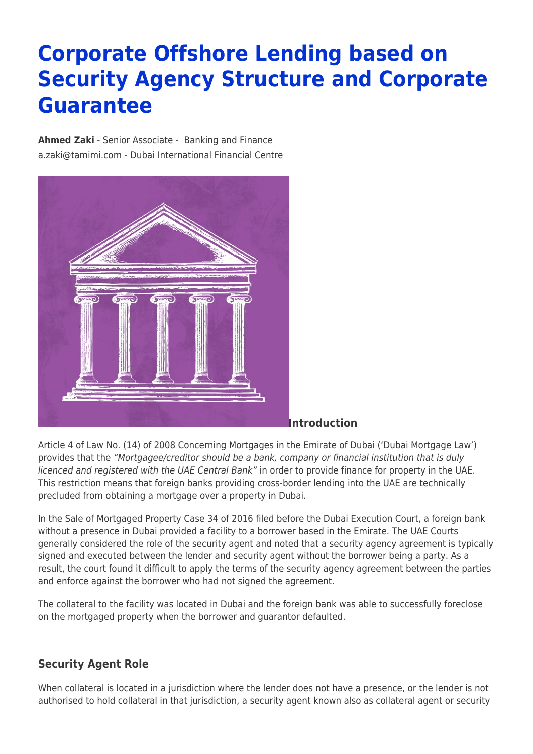# **Corporate Offshore Lending based on Security Agency Structure and Corporate Guarantee**

**[Ahmed Zaki](https://www.tamimi.com/find-a-lawyer/ahmed-zaki/)** - Senior Associate - [Banking and Finance](https://www.tamimi.com/client-services/practices/banking-finance/) [a.zaki@tamimi.com](mailto:a.zaki@tamimi.com) - [Dubai International Financial Centre](https://www.tamimi.com/locations/uae/)



### **Introduction**

Article 4 of Law No. (14) of 2008 Concerning Mortgages in the Emirate of Dubai ('Dubai Mortgage Law') provides that the "Mortgagee/creditor should be a bank, company or financial institution that is duly licenced and registered with the UAE Central Bank" in order to provide finance for property in the UAE. This restriction means that foreign banks providing cross-border lending into the UAE are technically precluded from obtaining a mortgage over a property in Dubai.

In the Sale of Mortgaged Property Case 34 of 2016 filed before the Dubai Execution Court, a foreign bank without a presence in Dubai provided a facility to a borrower based in the Emirate. The UAE Courts generally considered the role of the security agent and noted that a security agency agreement is typically signed and executed between the lender and security agent without the borrower being a party. As a result, the court found it difficult to apply the terms of the security agency agreement between the parties and enforce against the borrower who had not signed the agreement.

The collateral to the facility was located in Dubai and the foreign bank was able to successfully foreclose on the mortgaged property when the borrower and guarantor defaulted.

## **Security Agent Role**

When collateral is located in a jurisdiction where the lender does not have a presence, or the lender is not authorised to hold collateral in that jurisdiction, a security agent known also as collateral agent or security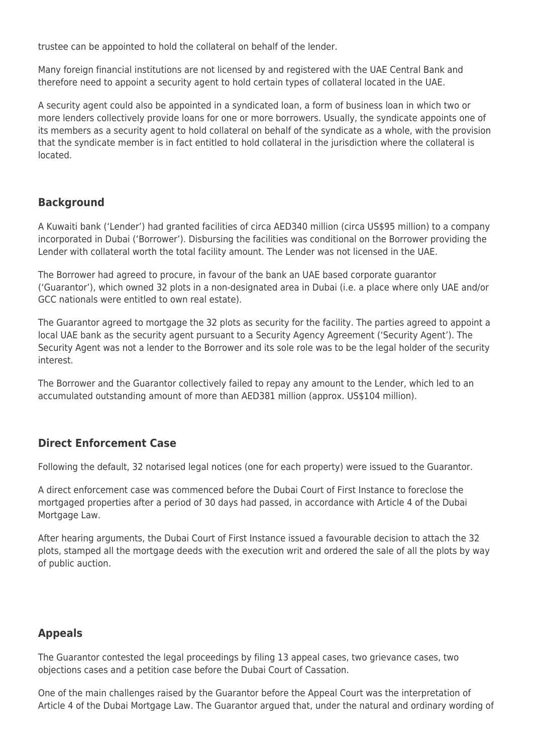trustee can be appointed to hold the collateral on behalf of the lender.

Many foreign financial institutions are not licensed by and registered with the UAE Central Bank and therefore need to appoint a security agent to hold certain types of collateral located in the UAE.

A security agent could also be appointed in a syndicated loan, a form of business loan in which two or more lenders collectively provide loans for one or more borrowers. Usually, the syndicate appoints one of its members as a security agent to hold collateral on behalf of the syndicate as a whole, with the provision that the syndicate member is in fact entitled to hold collateral in the jurisdiction where the collateral is located.

## **Background**

A Kuwaiti bank ('Lender') had granted facilities of circa AED340 million (circa US\$95 million) to a company incorporated in Dubai ('Borrower'). Disbursing the facilities was conditional on the Borrower providing the Lender with collateral worth the total facility amount. The Lender was not licensed in the UAE.

The Borrower had agreed to procure, in favour of the bank an UAE based corporate guarantor ('Guarantor'), which owned 32 plots in a non-designated area in Dubai (i.e. a place where only UAE and/or GCC nationals were entitled to own real estate).

The Guarantor agreed to mortgage the 32 plots as security for the facility. The parties agreed to appoint a local UAE bank as the security agent pursuant to a Security Agency Agreement ('Security Agent'). The Security Agent was not a lender to the Borrower and its sole role was to be the legal holder of the security interest.

The Borrower and the Guarantor collectively failed to repay any amount to the Lender, which led to an accumulated outstanding amount of more than AED381 million (approx. US\$104 million).

## **Direct Enforcement Case**

Following the default, 32 notarised legal notices (one for each property) were issued to the Guarantor.

A direct enforcement case was commenced before the Dubai Court of First Instance to foreclose the mortgaged properties after a period of 30 days had passed, in accordance with Article 4 of the Dubai Mortgage Law.

After hearing arguments, the Dubai Court of First Instance issued a favourable decision to attach the 32 plots, stamped all the mortgage deeds with the execution writ and ordered the sale of all the plots by way of public auction.

### **Appeals**

The Guarantor contested the legal proceedings by filing 13 appeal cases, two grievance cases, two objections cases and a petition case before the Dubai Court of Cassation.

One of the main challenges raised by the Guarantor before the Appeal Court was the interpretation of Article 4 of the Dubai Mortgage Law. The Guarantor argued that, under the natural and ordinary wording of